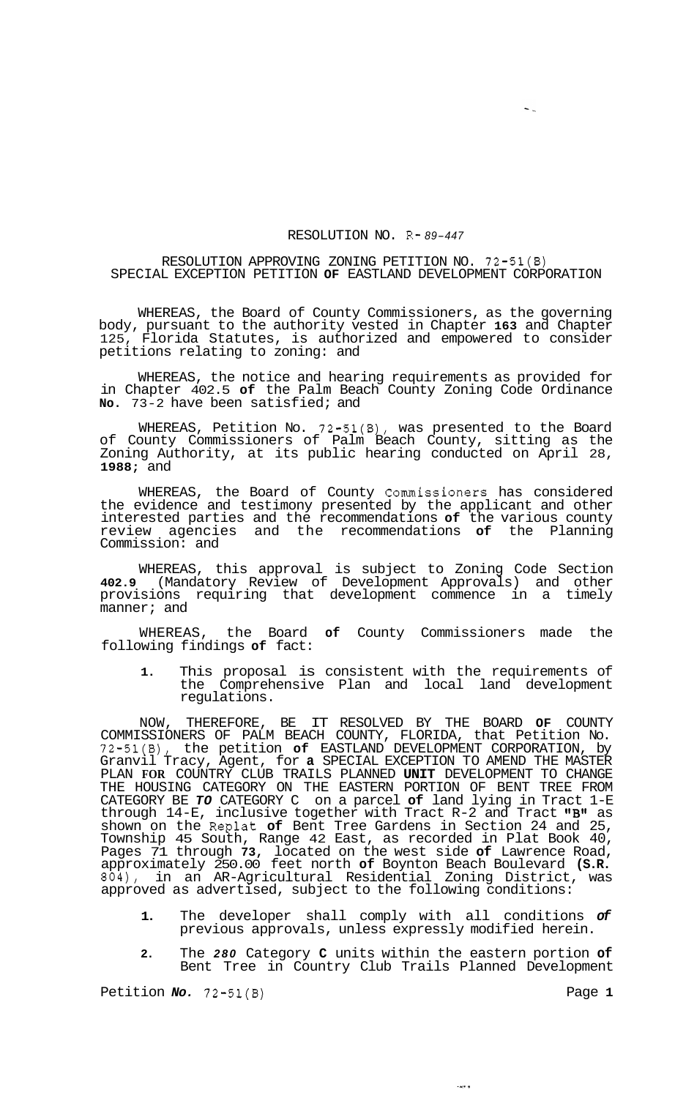## RESOLUTION NO. R- *89-447*

 $\blacksquare$ 

## RESOLUTION APPROVING ZONING PETITION NO. 72-51(B) SPECIAL EXCEPTION PETITION **OF** EASTLAND DEVELOPMENT CORPORATION

WHEREAS, the Board of County Commissioners, as the governing body, pursuant to the authority vested in Chapter **163** and Chapter Florida Statutes, is authorized and empowered to consider petitions relating to zoning: and

WHEREAS, the notice and hearing requirements as provided for in Chapter 402.5 **of** the Palm Beach County Zoning Code Ordinance **No.** 73-2 have been satisfied; and

WHEREAS, Petition No. 72-51(B), was presented to the Board of County Commissioners of Palm Beach County, sitting as the Zoning Authority, at its public hearing conducted on April 28, **1988;** and

WHEREAS, the Board of County Commissioners has considered the evidence and testimony presented by the applicant and other interested parties and the recommendations **of** the various county review agencies and the recommendations **of** the Planning Commission: and

WHEREAS, this approval is subject to Zoning Code Section **402.9** (Mandatory Review of Development Approvals) and other provisions requiring that development commence in a timely manner; and

WHEREAS, the Board **of** County Commissioners made the following findings **of** fact:

**1.** This proposal is consistent with the requirements of the Comprehensive Plan and local land development regulations.

NOW, THEREFORE, BE IT RESOLVED BY THE BOARD **OF** COUNTY COMMISSIONERS OF PALM BEACH COUNTY, FLORIDA, that Petition No. 72-51(B), the petition **of** EASTLAND DEVELOPMENT CORPORATION, by Granvil Tracy, Agent, for **a** SPECIAL EXCEPTION TO AMEND THE MASTER PLAN **FOR** COUNTRY CLUB TRAILS PLANNED **UNIT** DEVELOPMENT TO CHANGE THE HOUSING CATEGORY ON THE EASTERN PORTION OF BENT TREE FROM CATEGORY BE *TO* CATEGORY C on a parcel **of** land lying in Tract 1-E through  $14-E$ , inclusive together with Tract R-2 and Tract "B" as shown on the Replat **of** Bent Tree Gardens in Section 24 and 25, Township 45 South, Range 42 East, as recorded in Plat Book 40, Pages 71 through **73,** located on the west side **of** Lawrence Road, approximately 250.00 feet north **of** Boynton Beach Boulevard **(S.R.**  804), in an AR-Agricultural Residential Zoning District, was approved as advertised, subject to the following conditions:

- **1.** The developer shall comply with all conditions *of*  previous approvals, unless expressly modified herein.
- **2.** The *280* Category **C** units within the eastern portion **of**  Bent Tree in Country Club Trails Planned Development

الأساد

Petition *No.* **72-51(B)** Page **1**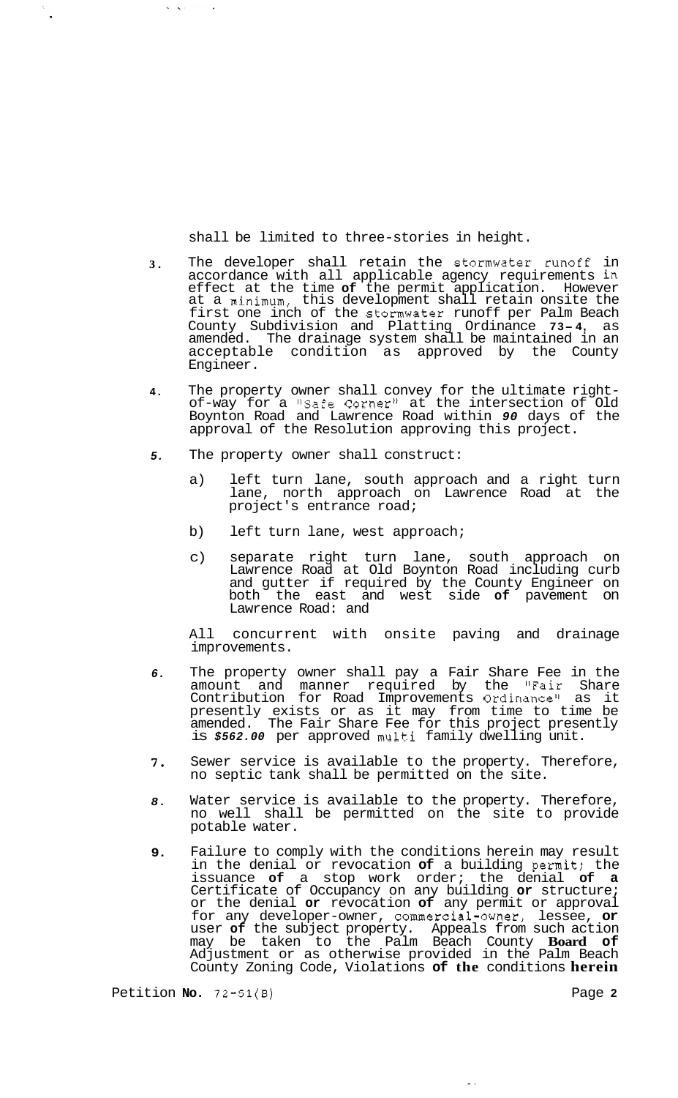shall be limited to three-stories in height.

- **3.**  The developer shall retain the Stormwater runoff in accordance with all applicable agency requirements in effect at the time **of** the permit application. However at a minimum, this development shall retain onsite the first one inch of the stormwater runoff per Palm Beach County Subdivision and Platting Ordinance **73- 4,** as amended. The drainage system shall be maintained in an acceptable condition as approved by the County Engineer.
- **4.**  The property owner shall convey for the ultimate right-<br>of-way for a "Safe Corner" at the intersection of Old Boynton Road and Lawrence Road within *90* days of the approval of the Resolution approving this project.
- *5.*  The property owner shall construct:
	- a) left turn lane, south approach and a right turn lane, north approach on Lawrence Road at the project's entrance road;
	- b) left turn lane, west approach;
	- c) separate right turn lane, south approach on Lawrence Road at Old Boynton Road including curb and gutter if required by the County Engineer on both the east and west side **of** pavement on Lawrence Road: and

All concurrent with onsite paving and drainage improvements.

- *6.*  The property owner shall pay a Fair Share Fee in the amount and manner required by the "Fair Share Contribution for Road Improvements Ordinancell as it presently exists or as it may from time to time be amended. The Fair Share Fee for this project presently is *\$562.00* per approved multi family dwelling unit.
- *7.*  Sewer service is available to the property. Therefore, no septic tank shall be permitted on the site.
- *8.*  Water service is available to the property. Therefore, no well shall be permitted on the site to provide potable water.
- **9.**  Failure to comply with the conditions herein may result in the denial or revocation **of** a building permit; the issuance **of** a stop work order; the denial **of a**  Certificate of Occupancy on any building **or** structure; or the denial **or** revocation **of** any permit or approval for any developer-owner, commercial-owner, lessee, **or**  user **of** the subject property. Appeals from such action may be taken to the Palm Beach County **Board of**  Adjustment or as otherwise provided in the Palm Beach County Zoning Code, Violations **of the** conditions **herein**

Petition **No. 72-51(B)** Page **2** 

 $\frac{1}{\sqrt{2}}\sum_{i=1}^{n} \frac{1}{\sqrt{2}}\left(\frac{1}{\sqrt{2}}\right)^2$ 

 $\mathbf{w}^{\prime}$  ,  $\mathbf{w}^{\prime}$  ,  $\mathbf{w}^{\prime}$  ,  $\mathbf{w}^{\prime}$  ,  $\mathbf{w}^{\prime}$